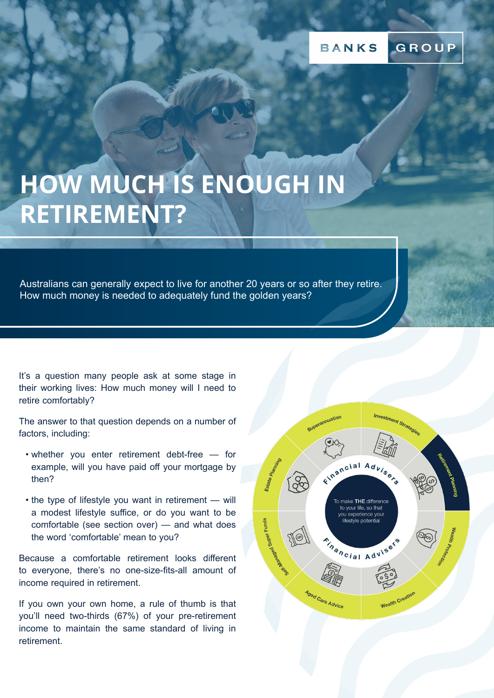# **HOW MUCH IS ENOUGH IN RETIREMENT?**

Australians can generally expect to live for another 20 years or so after they retire. How much money is needed to adequately fund the golden years?

It's a question many people ask at some stage in their working lives: How much money will I need to retire comfortably?

The answer to that question depends on a number of factors, including:

- whether you enter retirement debt-free for example, will you have paid off your mortgage by then?
- the type of lifestyle you want in retirement will a modest lifestyle suffice, or do you want to be comfortable (see section over) — and what does the word 'comfortable' mean to you?

Because a comfortable retirement looks different to everyone, there's no one-size-fits-all amount of income required in retirement.

If you own your own home, a rule of thumb is that you'll need two-thirds (67%) of your pre-retirement income to maintain the same standard of living in retirement.

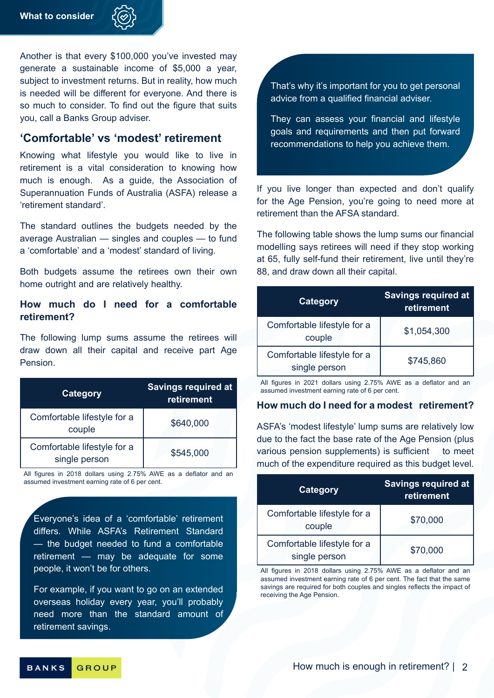

Another is that every \$100,000 you've invested may generate a sustainable income of \$5,000 a year, subject to investment returns. But in reality, how much is needed will be different for everyone. And there is so much to consider. To find out the figure that suits you, call a Banks Group adviser.

## **'Comfortable' vs 'modest' retirement**

Knowing what lifestyle you would like to live in retirement is a vital consideration to knowing how much is enough. As a guide, the Association of Superannuation Funds of Australia (ASFA) release a 'retirement standard'.

The standard outlines the budgets needed by the average Australian — singles and couples — to fund a 'comfortable' and a 'modest' standard of living.

Both budgets assume the retirees own their own home outright and are relatively healthy.

## **How much do I need for a comfortable retirement?**

The following lump sums assume the retirees will draw down all their capital and receive part Age Pension.

| Category                                     | <b>Savings required at</b><br>retirement |
|----------------------------------------------|------------------------------------------|
| Comfortable lifestyle for a<br>couple        | \$640,000                                |
| Comfortable lifestyle for a<br>single person | \$545,000                                |

All figures in 2018 dollars using 2.75% AWE as a deflator and an assumed investment earning rate of 6 per cent.

Everyone's idea of a 'comfortable' retirement differs. While ASFA's Retirement Standard — the budget needed to fund a comfortable retirement — may be adequate for some people, it won't be for others.

For example, if you want to go on an extended overseas holiday every year, you'll probably need more than the standard amount of retirement savings.

That's why it's important for you to get personal advice from a qualified financial adviser.

They can assess your financial and lifestyle goals and requirements and then put forward recommendations to help you achieve them.

If you live longer than expected and don't qualify for the Age Pension, you're going to need more at retirement than the AFSA standard.

The following table shows the lump sums our financial modelling says retirees will need if they stop working at 65, fully self-fund their retirement, live until they're 88, and draw down all their capital.

| <b>Category</b>                              | <b>Savings required at</b><br>retirement |  |
|----------------------------------------------|------------------------------------------|--|
| Comfortable lifestyle for a<br>couple        | \$1,054,300                              |  |
| Comfortable lifestyle for a<br>single person | \$745,860                                |  |

All figures in 2021 dollars using 2.75% AWE as a deflator and an assumed investment earning rate of 6 per cent.

### **How much do I need for a modest retirement?**

ASFA's 'modest lifestyle' lump sums are relatively low due to the fact the base rate of the Age Pension (plus various pension supplements) is sufficient to meet much of the expenditure required as this budget level.

| <b>Category</b>                              | <b>Savings required at</b><br>retirement |
|----------------------------------------------|------------------------------------------|
| Comfortable lifestyle for a<br>couple        | \$70,000                                 |
| Comfortable lifestyle for a<br>single person | \$70,000                                 |

All figures in 2018 dollars using 2.75% AWE as a deflator and an assumed investment earning rate of 6 per cent. The fact that the same savings are required for both couples and singles reflects the impact of receiving the Age Pension.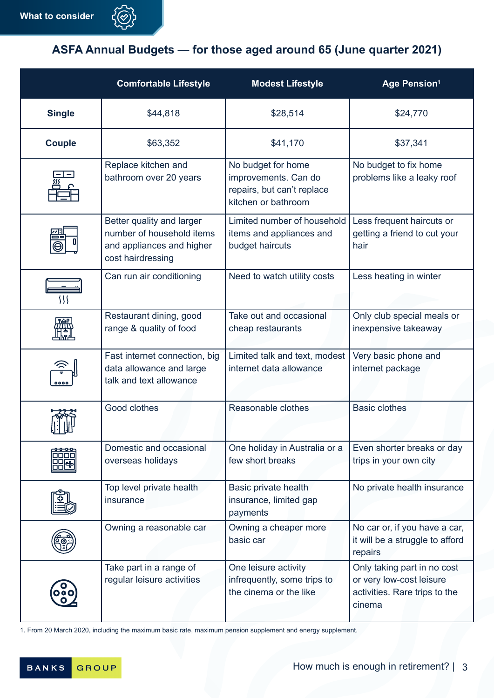

## **ASFA Annual Budgets — for those aged around 65 (June quarter 2021)**

|               | <b>Comfortable Lifestyle</b>                                                                             | <b>Modest Lifestyle</b>                                                                         | <b>Age Pension1</b>                                                                                |
|---------------|----------------------------------------------------------------------------------------------------------|-------------------------------------------------------------------------------------------------|----------------------------------------------------------------------------------------------------|
| <b>Single</b> | \$44,818                                                                                                 | \$28,514                                                                                        | \$24,770                                                                                           |
| <b>Couple</b> | \$63,352                                                                                                 | \$41,170                                                                                        | \$37,341                                                                                           |
| 巠             | Replace kitchen and<br>bathroom over 20 years                                                            | No budget for home<br>improvements. Can do<br>repairs, but can't replace<br>kitchen or bathroom | No budget to fix home<br>problems like a leaky roof                                                |
|               | Better quality and larger<br>number of household items<br>and appliances and higher<br>cost hairdressing | Limited number of household<br>items and appliances and<br>budget haircuts                      | Less frequent haircuts or<br>getting a friend to cut your<br>hair                                  |
| }}}           | Can run air conditioning                                                                                 | Need to watch utility costs                                                                     | Less heating in winter                                                                             |
|               | Restaurant dining, good<br>range & quality of food                                                       | Take out and occasional<br>cheap restaurants                                                    | Only club special meals or<br>inexpensive takeaway                                                 |
| 000           | Fast internet connection, big<br>data allowance and large<br>talk and text allowance                     | Limited talk and text, modest<br>internet data allowance                                        | Very basic phone and<br>internet package                                                           |
|               | Good clothes                                                                                             | Reasonable clothes                                                                              | <b>Basic clothes</b>                                                                               |
|               | Domestic and occasional<br>overseas holidays                                                             | One holiday in Australia or a<br>few short breaks                                               | Even shorter breaks or day<br>trips in your own city                                               |
|               | Top level private health<br>insurance                                                                    | Basic private health<br>insurance, limited gap<br>payments                                      | No private health insurance                                                                        |
|               | Owning a reasonable car                                                                                  | Owning a cheaper more<br>basic car                                                              | No car or, if you have a car,<br>it will be a struggle to afford<br>repairs                        |
| ( ၀ )<br>၀၀၀  | Take part in a range of<br>regular leisure activities                                                    | One leisure activity<br>infrequently, some trips to<br>the cinema or the like                   | Only taking part in no cost<br>or very low-cost leisure<br>activities. Rare trips to the<br>cinema |

1. From 20 March 2020, including the maximum basic rate, maximum pension supplement and energy supplement.